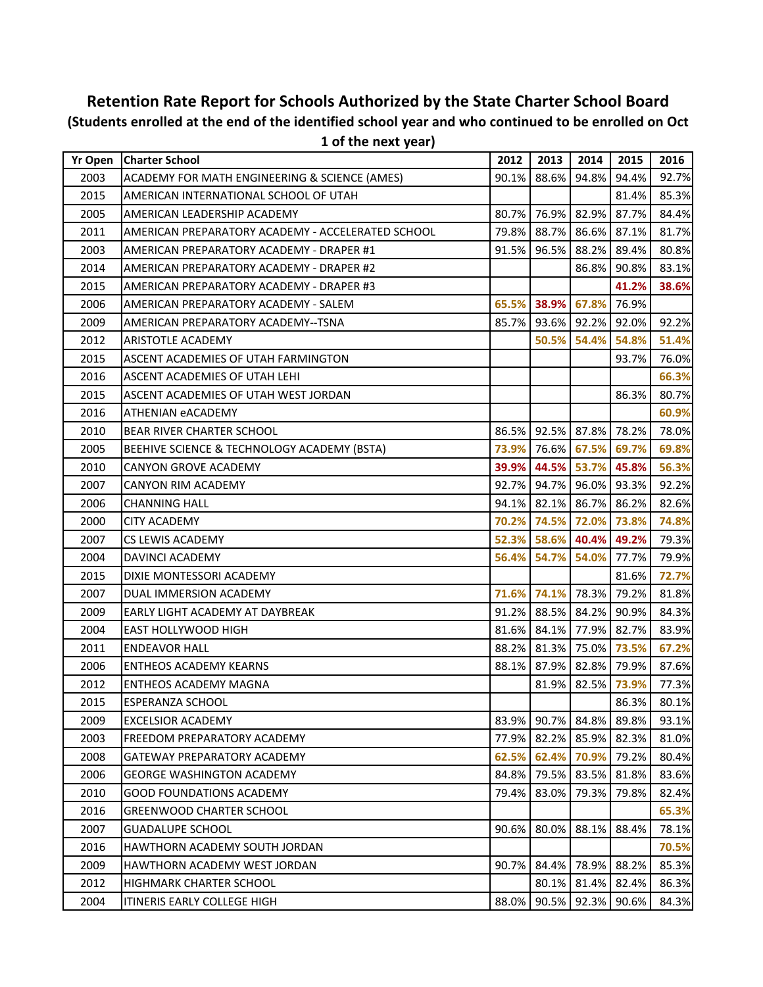## **Retention Rate Report for Schools Authorized by the State Charter School Board (Students enrolled at the end of the identified school year and who continued to be enrolled on Oct 1 of the next year)**

| <b>Yr Open</b> | <b>Charter School</b>                             | 2012  | 2013        | 2014              | 2015  | 2016  |
|----------------|---------------------------------------------------|-------|-------------|-------------------|-------|-------|
| 2003           | ACADEMY FOR MATH ENGINEERING & SCIENCE (AMES)     | 90.1% | 88.6%       | 94.8%             | 94.4% | 92.7% |
| 2015           | AMERICAN INTERNATIONAL SCHOOL OF UTAH             |       |             |                   | 81.4% | 85.3% |
| 2005           | AMERICAN LEADERSHIP ACADEMY                       | 80.7% | 76.9%       | 82.9%             | 87.7% | 84.4% |
| 2011           | AMERICAN PREPARATORY ACADEMY - ACCELERATED SCHOOL | 79.8% | 88.7%       | 86.6%             | 87.1% | 81.7% |
| 2003           | AMERICAN PREPARATORY ACADEMY - DRAPER #1          | 91.5% | 96.5%       | 88.2%             | 89.4% | 80.8% |
| 2014           | AMERICAN PREPARATORY ACADEMY - DRAPER #2          |       |             | 86.8%             | 90.8% | 83.1% |
| 2015           | AMERICAN PREPARATORY ACADEMY - DRAPER #3          |       |             |                   | 41.2% | 38.6% |
| 2006           | AMERICAN PREPARATORY ACADEMY - SALEM              | 65.5% |             | 38.9% 67.8%       | 76.9% |       |
| 2009           | AMERICAN PREPARATORY ACADEMY--TSNA                | 85.7% | 93.6%       | 92.2%             | 92.0% | 92.2% |
| 2012           | ARISTOTLE ACADEMY                                 |       | 50.5%       | 54.4%             | 54.8% | 51.4% |
| 2015           | ASCENT ACADEMIES OF UTAH FARMINGTON               |       |             |                   | 93.7% | 76.0% |
| 2016           | ASCENT ACADEMIES OF UTAH LEHI                     |       |             |                   |       | 66.3% |
| 2015           | ASCENT ACADEMIES OF UTAH WEST JORDAN              |       |             |                   | 86.3% | 80.7% |
| 2016           | <b>ATHENIAN eACADEMY</b>                          |       |             |                   |       | 60.9% |
| 2010           | <b>BEAR RIVER CHARTER SCHOOL</b>                  |       |             | 86.5% 92.5% 87.8% | 78.2% | 78.0% |
| 2005           | BEEHIVE SCIENCE & TECHNOLOGY ACADEMY (BSTA)       | 73.9% | 76.6%       | 67.5%             | 69.7% | 69.8% |
| 2010           | <b>CANYON GROVE ACADEMY</b>                       | 39.9% | 44.5%       | 53.7%             | 45.8% | 56.3% |
| 2007           | <b>CANYON RIM ACADEMY</b>                         | 92.7% | 94.7%       | 96.0%             | 93.3% | 92.2% |
| 2006           | <b>CHANNING HALL</b>                              | 94.1% | 82.1%       | 86.7%             | 86.2% | 82.6% |
| 2000           | <b>CITY ACADEMY</b>                               |       | 70.2% 74.5% | 72.0%             | 73.8% | 74.8% |
| 2007           | <b>CS LEWIS ACADEMY</b>                           |       | 52.3% 58.6% | 40.4%             | 49.2% | 79.3% |
| 2004           | DAVINCI ACADEMY                                   | 56.4% | 54.7%       | 54.0%             | 77.7% | 79.9% |
| 2015           | DIXIE MONTESSORI ACADEMY                          |       |             |                   | 81.6% | 72.7% |
| 2007           | DUAL IMMERSION ACADEMY                            |       |             | 71.6% 74.1% 78.3% | 79.2% | 81.8% |
| 2009           | EARLY LIGHT ACADEMY AT DAYBREAK                   | 91.2% | 88.5%       | 84.2%             | 90.9% | 84.3% |
| 2004           | EAST HOLLYWOOD HIGH                               | 81.6% | 84.1%       | 77.9%             | 82.7% | 83.9% |
| 2011           | <b>ENDEAVOR HALL</b>                              | 88.2% | 81.3%       | 75.0%             | 73.5% | 67.2% |
| 2006           | <b>ENTHEOS ACADEMY KEARNS</b>                     | 88.1% | 87.9%       | 82.8%             | 79.9% | 87.6% |
| 2012           | <b>ENTHEOS ACADEMY MAGNA</b>                      |       | 81.9%       | 82.5%             | 73.9% | 77.3% |
| 2015           | ESPERANZA SCHOOL                                  |       |             |                   | 86.3% | 80.1% |
| 2009           | <b>EXCELSIOR ACADEMY</b>                          | 83.9% |             | 90.7% 84.8%       | 89.8% | 93.1% |
| 2003           | FREEDOM PREPARATORY ACADEMY                       | 77.9% | 82.2%       | 85.9%             | 82.3% | 81.0% |
| 2008           | GATEWAY PREPARATORY ACADEMY                       | 62.5% | 62.4%       | 70.9%             | 79.2% | 80.4% |
| 2006           | <b>GEORGE WASHINGTON ACADEMY</b>                  | 84.8% | 79.5%       | 83.5%             | 81.8% | 83.6% |
| 2010           | <b>GOOD FOUNDATIONS ACADEMY</b>                   | 79.4% | 83.0%       | 79.3%             | 79.8% | 82.4% |
| 2016           | <b>GREENWOOD CHARTER SCHOOL</b>                   |       |             |                   |       | 65.3% |
| 2007           | <b>GUADALUPE SCHOOL</b>                           | 90.6% | 80.0%       | 88.1%             | 88.4% | 78.1% |
| 2016           | HAWTHORN ACADEMY SOUTH JORDAN                     |       |             |                   |       | 70.5% |
| 2009           | HAWTHORN ACADEMY WEST JORDAN                      | 90.7% | 84.4%       | 78.9%             | 88.2% | 85.3% |
| 2012           | <b>HIGHMARK CHARTER SCHOOL</b>                    |       | 80.1%       | 81.4%             | 82.4% | 86.3% |
| 2004           | ITINERIS EARLY COLLEGE HIGH                       | 88.0% | 90.5%       | 92.3%             | 90.6% | 84.3% |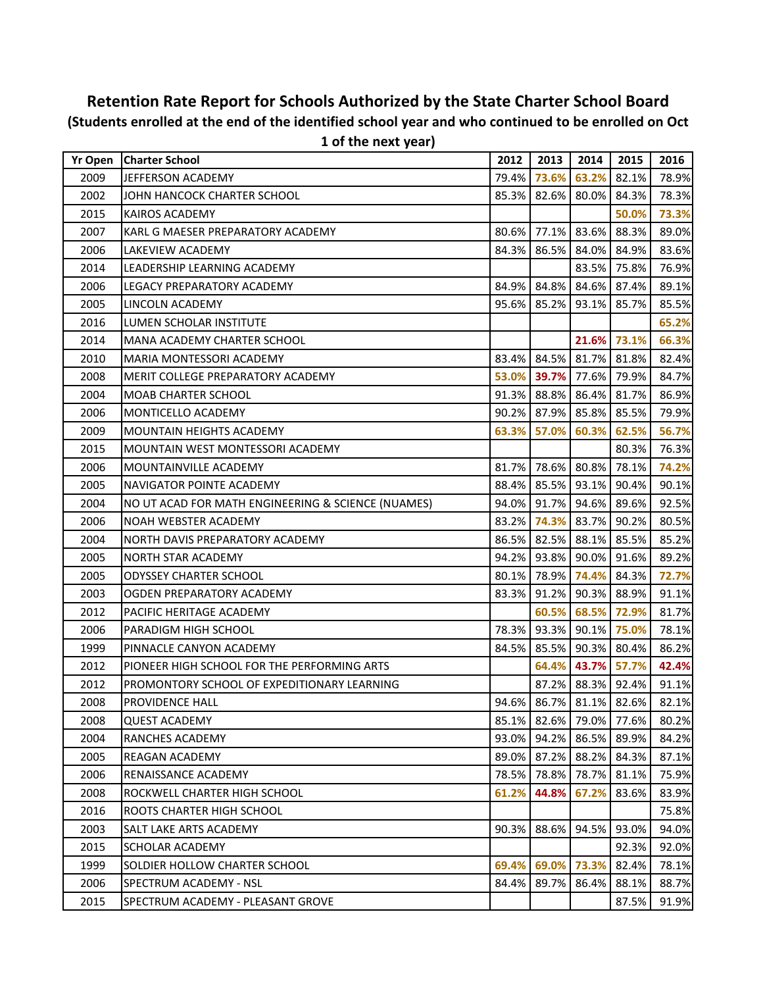|                | I OI UIE HEXL YEAL)                                |       |       |       |                         |       |
|----------------|----------------------------------------------------|-------|-------|-------|-------------------------|-------|
| <b>Yr Open</b> | <b>Charter School</b>                              | 2012  | 2013  | 2014  | 2015                    | 2016  |
| 2009           | JEFFERSON ACADEMY                                  | 79.4% | 73.6% | 63.2% | 82.1%                   | 78.9% |
| 2002           | JOHN HANCOCK CHARTER SCHOOL                        | 85.3% | 82.6% | 80.0% | 84.3%                   | 78.3% |
| 2015           | KAIROS ACADEMY                                     |       |       |       | 50.0%                   | 73.3% |
| 2007           | KARL G MAESER PREPARATORY ACADEMY                  | 80.6% | 77.1% | 83.6% | 88.3%                   | 89.0% |
| 2006           | LAKEVIEW ACADEMY                                   | 84.3% | 86.5% | 84.0% | 84.9%                   | 83.6% |
| 2014           | LEADERSHIP LEARNING ACADEMY                        |       |       | 83.5% | 75.8%                   | 76.9% |
| 2006           | LEGACY PREPARATORY ACADEMY                         | 84.9% | 84.8% | 84.6% | 87.4%                   | 89.1% |
| 2005           | LINCOLN ACADEMY                                    | 95.6% | 85.2% | 93.1% | 85.7%                   | 85.5% |
| 2016           | LUMEN SCHOLAR INSTITUTE                            |       |       |       |                         | 65.2% |
| 2014           | <b>MANA ACADEMY CHARTER SCHOOL</b>                 |       |       | 21.6% | 73.1%                   | 66.3% |
| 2010           | MARIA MONTESSORI ACADEMY                           | 83.4% | 84.5% | 81.7% | 81.8%                   | 82.4% |
| 2008           | MERIT COLLEGE PREPARATORY ACADEMY                  | 53.0% | 39.7% | 77.6% | 79.9%                   | 84.7% |
| 2004           | <b>MOAB CHARTER SCHOOL</b>                         | 91.3% | 88.8% | 86.4% | 81.7%                   | 86.9% |
| 2006           | MONTICELLO ACADEMY                                 | 90.2% | 87.9% | 85.8% | 85.5%                   | 79.9% |
| 2009           | MOUNTAIN HEIGHTS ACADEMY                           | 63.3% | 57.0% | 60.3% | 62.5%                   | 56.7% |
| 2015           | MOUNTAIN WEST MONTESSORI ACADEMY                   |       |       |       | 80.3%                   | 76.3% |
| 2006           | MOUNTAINVILLE ACADEMY                              | 81.7% | 78.6% | 80.8% | 78.1%                   | 74.2% |
| 2005           | <b>NAVIGATOR POINTE ACADEMY</b>                    | 88.4% | 85.5% | 93.1% | 90.4%                   | 90.1% |
| 2004           | NO UT ACAD FOR MATH ENGINEERING & SCIENCE (NUAMES) | 94.0% | 91.7% | 94.6% | 89.6%                   | 92.5% |
| 2006           | NOAH WEBSTER ACADEMY                               | 83.2% | 74.3% | 83.7% | 90.2%                   | 80.5% |
| 2004           | NORTH DAVIS PREPARATORY ACADEMY                    | 86.5% | 82.5% | 88.1% | 85.5%                   | 85.2% |
| 2005           | NORTH STAR ACADEMY                                 | 94.2% | 93.8% | 90.0% | 91.6%                   | 89.2% |
| 2005           | <b>ODYSSEY CHARTER SCHOOL</b>                      | 80.1% | 78.9% | 74.4% | 84.3%                   | 72.7% |
| 2003           | OGDEN PREPARATORY ACADEMY                          | 83.3% | 91.2% | 90.3% | 88.9%                   | 91.1% |
| 2012           | PACIFIC HERITAGE ACADEMY                           |       | 60.5% | 68.5% | 72.9%                   | 81.7% |
| 2006           | PARADIGM HIGH SCHOOL                               | 78.3% | 93.3% | 90.1% | 75.0%                   | 78.1% |
| 1999           | PINNACLE CANYON ACADEMY                            | 84.5% | 85.5% | 90.3% | 80.4%                   | 86.2% |
| 2012           | PIONEER HIGH SCHOOL FOR THE PERFORMING ARTS        |       | 64.4% | 43.7% | 57.7%                   | 42.4% |
| 2012           | PROMONTORY SCHOOL OF EXPEDITIONARY LEARNING        |       | 87.2% | 88.3% | 92.4%                   | 91.1% |
| 2008           | PROVIDENCE HALL                                    |       |       |       | 94.6% 86.7% 81.1% 82.6% | 82.1% |
| 2008           | QUEST ACADEMY                                      | 85.1% | 82.6% | 79.0% | 77.6%                   | 80.2% |
| 2004           | <b>RANCHES ACADEMY</b>                             | 93.0% | 94.2% | 86.5% | 89.9%                   | 84.2% |
| 2005           | REAGAN ACADEMY                                     | 89.0% | 87.2% | 88.2% | 84.3%                   | 87.1% |
| 2006           | RENAISSANCE ACADEMY                                | 78.5% | 78.8% | 78.7% | 81.1%                   | 75.9% |
| 2008           | ROCKWELL CHARTER HIGH SCHOOL                       | 61.2% | 44.8% | 67.2% | 83.6%                   | 83.9% |
| 2016           | <b>ROOTS CHARTER HIGH SCHOOL</b>                   |       |       |       |                         | 75.8% |
| 2003           | SALT LAKE ARTS ACADEMY                             | 90.3% | 88.6% | 94.5% | 93.0%                   | 94.0% |
| 2015           | <b>SCHOLAR ACADEMY</b>                             |       |       |       | 92.3%                   | 92.0% |
| 1999           | <b>SOLDIER HOLLOW CHARTER SCHOOL</b>               | 69.4% | 69.0% | 73.3% | 82.4%                   | 78.1% |
| 2006           | SPECTRUM ACADEMY - NSL                             | 84.4% | 89.7% | 86.4% | 88.1%                   | 88.7% |
| 2015           | SPECTRUM ACADEMY - PLEASANT GROVE                  |       |       |       | 87.5%                   | 91.9% |

## **Retention Rate Report for Schools Authorized by the State Charter School Board (Students enrolled at the end of the identified school year and who continued to be enrolled on Oct 1 of the next year)**